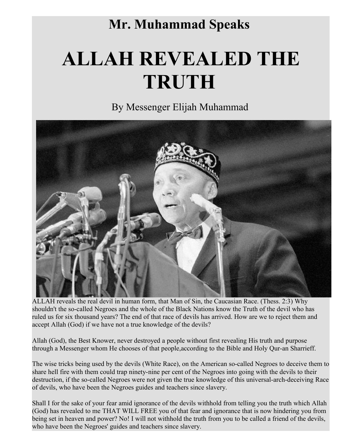## **Mr. Muhammad Speaks**

## **ALLAH REVEALED THE TRUTH**

By Messenger Elijah Muhammad



ALLAH reveals the real devil in human form, that Man of Sin, the Caucasian Race. (Thess. 2:3) Why shouldn't the so-called Negroes and the whole of the Black Nations know the Truth of the devil who has ruled us for six thousand years? The end of that race of devils has arrived. How are we to reject them and accept Allah (God) if we have not a true knowledge of the devils?

Allah (God), the Best Knower, never destroyed a people without first revealing His truth and purpose through a Messenger whom He chooses of that people,according to the Bible and Holy Qur-an Sharrieff.

The wise tricks being used by the devils (White Race), on the American so-called Negroes to deceive them to share hell fire with them could trap ninety-nine per cent of the Negroes into going with the devils to their destruction, if the so-called Negroes were not given the true knowledge of this universal-arch-deceiving Race of devils, who have been the Negroes guides and teachers since slavery.

Shall I for the sake of your fear amid ignorance of the devils withhold from telling you the truth which Allah (God) has revealed to me THAT WILL FREE you of that fear and ignorance that is now hindering you from being set in heaven and power? No! I will not withhold the truth from you to be called a friend of the devils, who have been the Negroes' guides and teachers since slavery.